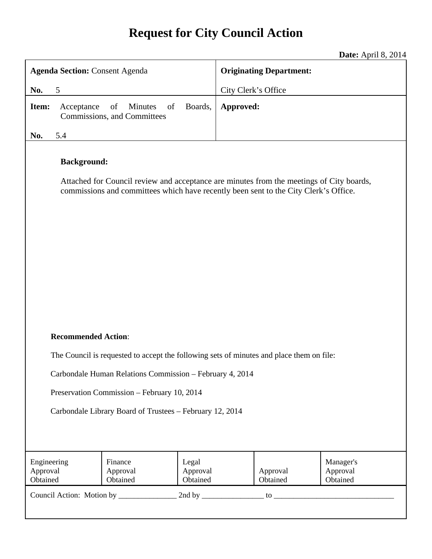# **Request for City Council Action**

**Date:** April 8, 2014

| <b>Agenda Section: Consent Agenda</b>                                                                                                                                                                                                                                                         |                                                    |                               | <b>Originating Department:</b> |                      |                                   |
|-----------------------------------------------------------------------------------------------------------------------------------------------------------------------------------------------------------------------------------------------------------------------------------------------|----------------------------------------------------|-------------------------------|--------------------------------|----------------------|-----------------------------------|
| No.<br>5                                                                                                                                                                                                                                                                                      |                                                    | City Clerk's Office           |                                |                      |                                   |
| Item:<br>Acceptance                                                                                                                                                                                                                                                                           | Minutes<br>of<br>of<br>Commissions, and Committees | Boards,                       | Approved:                      |                      |                                   |
| 5.4<br>No.                                                                                                                                                                                                                                                                                    |                                                    |                               |                                |                      |                                   |
| <b>Background:</b><br>Attached for Council review and acceptance are minutes from the meetings of City boards,<br>commissions and committees which have recently been sent to the City Clerk's Office.                                                                                        |                                                    |                               |                                |                      |                                   |
| <b>Recommended Action:</b><br>The Council is requested to accept the following sets of minutes and place them on file:<br>Carbondale Human Relations Commission – February 4, 2014<br>Preservation Commission - February 10, 2014<br>Carbondale Library Board of Trustees - February 12, 2014 |                                                    |                               |                                |                      |                                   |
|                                                                                                                                                                                                                                                                                               |                                                    |                               |                                |                      |                                   |
| Engineering<br>Approval<br>Obtained                                                                                                                                                                                                                                                           | Finance<br>Approval<br>Obtained                    | Legal<br>Approval<br>Obtained |                                | Approval<br>Obtained | Manager's<br>Approval<br>Obtained |
|                                                                                                                                                                                                                                                                                               |                                                    |                               |                                |                      |                                   |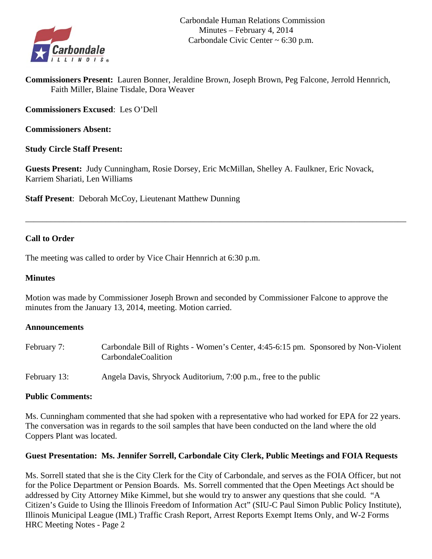

**Commissioners Present:** Lauren Bonner, Jeraldine Brown, Joseph Brown, Peg Falcone, Jerrold Hennrich, Faith Miller, Blaine Tisdale, Dora Weaver

**Commissioners Excused**: Les O'Dell

**Commissioners Absent:** 

### **Study Circle Staff Present:**

**Guests Present:** Judy Cunningham, Rosie Dorsey, Eric McMillan, Shelley A. Faulkner, Eric Novack, Karriem Shariati, Len Williams

\_\_\_\_\_\_\_\_\_\_\_\_\_\_\_\_\_\_\_\_\_\_\_\_\_\_\_\_\_\_\_\_\_\_\_\_\_\_\_\_\_\_\_\_\_\_\_\_\_\_\_\_\_\_\_\_\_\_\_\_\_\_\_\_\_\_\_\_\_\_\_\_\_\_\_\_\_\_\_\_\_\_\_\_\_\_\_\_\_\_

**Staff Present**: Deborah McCoy, Lieutenant Matthew Dunning

### **Call to Order**

The meeting was called to order by Vice Chair Hennrich at 6:30 p.m.

### **Minutes**

Motion was made by Commissioner Joseph Brown and seconded by Commissioner Falcone to approve the minutes from the January 13, 2014, meeting. Motion carried.

### **Announcements**

| February 7:  | Carbondale Bill of Rights - Women's Center, 4:45-6:15 pm. Sponsored by Non-Violent<br>CarbondaleCoalition |
|--------------|-----------------------------------------------------------------------------------------------------------|
| February 13: | Angela Davis, Shryock Auditorium, 7:00 p.m., free to the public                                           |

### **Public Comments:**

Ms. Cunningham commented that she had spoken with a representative who had worked for EPA for 22 years. The conversation was in regards to the soil samples that have been conducted on the land where the old Coppers Plant was located.

### **Guest Presentation: Ms. Jennifer Sorrell, Carbondale City Clerk, Public Meetings and FOIA Requests**

Ms. Sorrell stated that she is the City Clerk for the City of Carbondale, and serves as the FOIA Officer, but not for the Police Department or Pension Boards. Ms. Sorrell commented that the Open Meetings Act should be addressed by City Attorney Mike Kimmel, but she would try to answer any questions that she could. "A Citizen's Guide to Using the Illinois Freedom of Information Act" (SIU-C Paul Simon Public Policy Institute), Illinois Municipal League (IML) Traffic Crash Report, Arrest Reports Exempt Items Only, and W-2 Forms HRC Meeting Notes - Page 2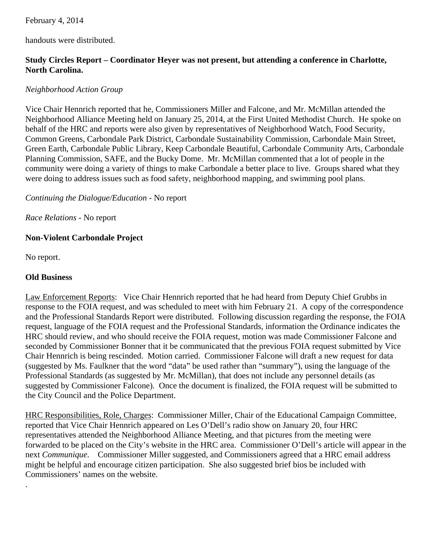### February 4, 2014

handouts were distributed.

### **Study Circles Report – Coordinator Heyer was not present, but attending a conference in Charlotte, North Carolina.**

### *Neighborhood Action Group*

Vice Chair Hennrich reported that he, Commissioners Miller and Falcone, and Mr. McMillan attended the Neighborhood Alliance Meeting held on January 25, 2014, at the First United Methodist Church. He spoke on behalf of the HRC and reports were also given by representatives of Neighborhood Watch, Food Security, Common Greens, Carbondale Park District, Carbondale Sustainability Commission, Carbondale Main Street, Green Earth, Carbondale Public Library, Keep Carbondale Beautiful, Carbondale Community Arts, Carbondale Planning Commission, SAFE, and the Bucky Dome. Mr. McMillan commented that a lot of people in the community were doing a variety of things to make Carbondale a better place to live. Groups shared what they were doing to address issues such as food safety, neighborhood mapping, and swimming pool plans.

### *Continuing the Dialogue/Education -* No report

*Race Relations -* No report

### **Non-Violent Carbondale Project**

No report.

.

### **Old Business**

Law Enforcement Reports: Vice Chair Hennrich reported that he had heard from Deputy Chief Grubbs in response to the FOIA request, and was scheduled to meet with him February 21. A copy of the correspondence and the Professional Standards Report were distributed. Following discussion regarding the response, the FOIA request, language of the FOIA request and the Professional Standards, information the Ordinance indicates the HRC should review, and who should receive the FOIA request, motion was made Commissioner Falcone and seconded by Commissioner Bonner that it be communicated that the previous FOIA request submitted by Vice Chair Hennrich is being rescinded. Motion carried. Commissioner Falcone will draft a new request for data (suggested by Ms. Faulkner that the word "data" be used rather than "summary"), using the language of the Professional Standards (as suggested by Mr. McMillan), that does not include any personnel details (as suggested by Commissioner Falcone). Once the document is finalized, the FOIA request will be submitted to the City Council and the Police Department.

HRC Responsibilities, Role, Charges: Commissioner Miller, Chair of the Educational Campaign Committee, reported that Vice Chair Hennrich appeared on Les O'Dell's radio show on January 20, four HRC representatives attended the Neighborhood Alliance Meeting, and that pictures from the meeting were forwarded to be placed on the City's website in the HRC area. Commissioner O'Dell's article will appear in the next *Communique*. Commissioner Miller suggested, and Commissioners agreed that a HRC email address might be helpful and encourage citizen participation. She also suggested brief bios be included with Commissioners' names on the website.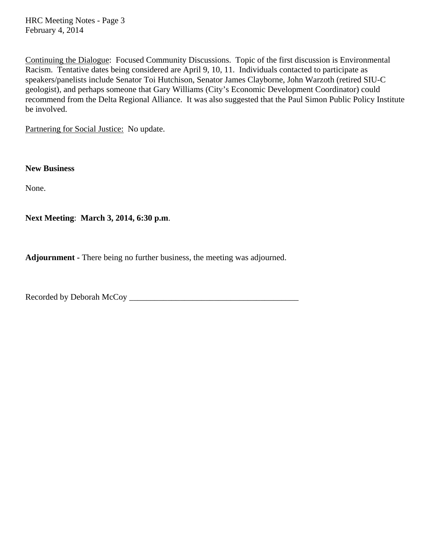HRC Meeting Notes - Page 3 February 4, 2014

Continuing the Dialogue: Focused Community Discussions. Topic of the first discussion is Environmental Racism. Tentative dates being considered are April 9, 10, 11. Individuals contacted to participate as speakers/panelists include Senator Toi Hutchison, Senator James Clayborne, John Warzoth (retired SIU-C geologist), and perhaps someone that Gary Williams (City's Economic Development Coordinator) could recommend from the Delta Regional Alliance. It was also suggested that the Paul Simon Public Policy Institute be involved.

Partnering for Social Justice: No update.

**New Business** 

None.

**Next Meeting**: **March 3, 2014, 6:30 p.m**.

**Adjournment -** There being no further business, the meeting was adjourned.

Recorded by Deborah McCoy \_\_\_\_\_\_\_\_\_\_\_\_\_\_\_\_\_\_\_\_\_\_\_\_\_\_\_\_\_\_\_\_\_\_\_\_\_\_\_\_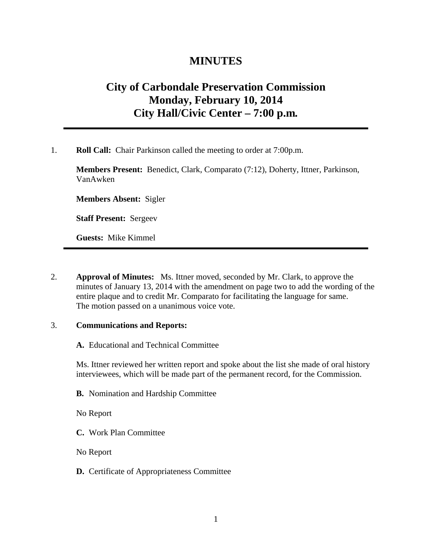## **MINUTES**

# **City of Carbondale Preservation Commission Monday, February 10, 2014 City Hall/Civic Center – 7:00 p.m***.*

1. **Roll Call:** Chair Parkinson called the meeting to order at 7:00p.m.

**Members Present:** Benedict, Clark, Comparato (7:12), Doherty, Ittner, Parkinson, VanAwken

**Members Absent:** Sigler

**Staff Present:** Sergeev

**Guests:** Mike Kimmel

2. **Approval of Minutes:** Ms. Ittner moved, seconded by Mr. Clark, to approve the minutes of January 13, 2014 with the amendment on page two to add the wording of the entire plaque and to credit Mr. Comparato for facilitating the language for same. The motion passed on a unanimous voice vote.

#### 3. **Communications and Reports:**

**A.** Educational and Technical Committee

Ms. Ittner reviewed her written report and spoke about the list she made of oral history interviewees, which will be made part of the permanent record, for the Commission.

**B.** Nomination and Hardship Committee

No Report

**C.** Work Plan Committee

No Report

**D.** Certificate of Appropriateness Committee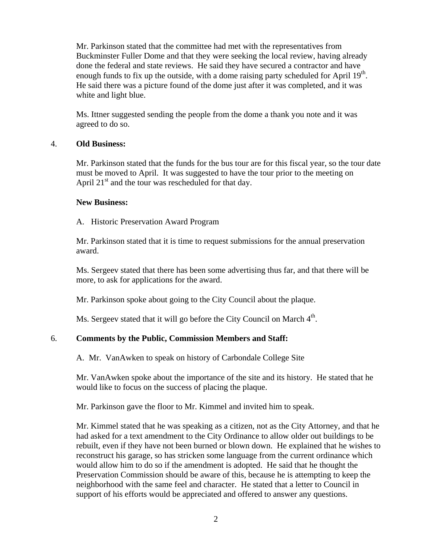Mr. Parkinson stated that the committee had met with the representatives from Buckminster Fuller Dome and that they were seeking the local review, having already done the federal and state reviews. He said they have secured a contractor and have enough funds to fix up the outside, with a dome raising party scheduled for April  $19<sup>th</sup>$ . He said there was a picture found of the dome just after it was completed, and it was white and light blue.

Ms. Ittner suggested sending the people from the dome a thank you note and it was agreed to do so.

### 4. **Old Business:**

Mr. Parkinson stated that the funds for the bus tour are for this fiscal year, so the tour date must be moved to April. It was suggested to have the tour prior to the meeting on April  $21<sup>st</sup>$  and the tour was rescheduled for that day.

### **New Business:**

A. Historic Preservation Award Program

Mr. Parkinson stated that it is time to request submissions for the annual preservation award.

Ms. Sergeev stated that there has been some advertising thus far, and that there will be more, to ask for applications for the award.

Mr. Parkinson spoke about going to the City Council about the plaque.

Ms. Sergeev stated that it will go before the City Council on March 4<sup>th</sup>.

### 6. **Comments by the Public, Commission Members and Staff:**

A. Mr. VanAwken to speak on history of Carbondale College Site

Mr. VanAwken spoke about the importance of the site and its history. He stated that he would like to focus on the success of placing the plaque.

Mr. Parkinson gave the floor to Mr. Kimmel and invited him to speak.

Mr. Kimmel stated that he was speaking as a citizen, not as the City Attorney, and that he had asked for a text amendment to the City Ordinance to allow older out buildings to be rebuilt, even if they have not been burned or blown down. He explained that he wishes to reconstruct his garage, so has stricken some language from the current ordinance which would allow him to do so if the amendment is adopted. He said that he thought the Preservation Commission should be aware of this, because he is attempting to keep the neighborhood with the same feel and character. He stated that a letter to Council in support of his efforts would be appreciated and offered to answer any questions.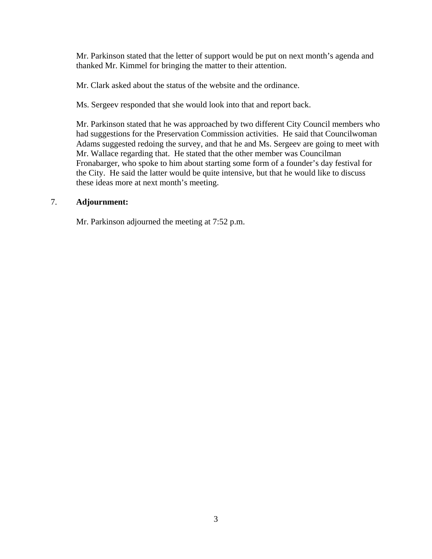Mr. Parkinson stated that the letter of support would be put on next month's agenda and thanked Mr. Kimmel for bringing the matter to their attention.

Mr. Clark asked about the status of the website and the ordinance.

Ms. Sergeev responded that she would look into that and report back.

Mr. Parkinson stated that he was approached by two different City Council members who had suggestions for the Preservation Commission activities. He said that Councilwoman Adams suggested redoing the survey, and that he and Ms. Sergeev are going to meet with Mr. Wallace regarding that. He stated that the other member was Councilman Fronabarger, who spoke to him about starting some form of a founder's day festival for the City. He said the latter would be quite intensive, but that he would like to discuss these ideas more at next month's meeting.

### 7. **Adjournment:**

Mr. Parkinson adjourned the meeting at 7:52 p.m.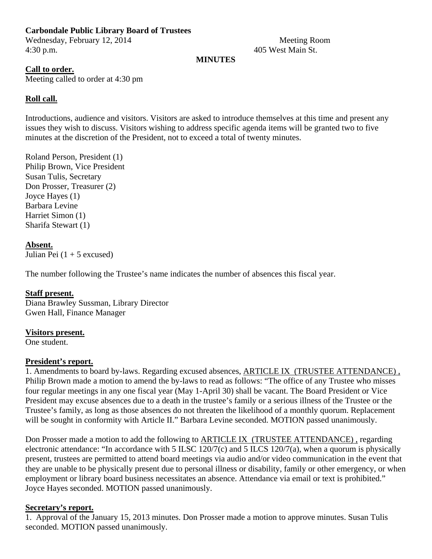### **Carbondale Public Library Board of Trustees**

Wednesday, February 12, 2014 Meeting Room 4:30 p.m. 405 West Main St.

### **MINUTES**

### **Call to order.**

Meeting called to order at 4:30 pm

### **Roll call.**

Introductions, audience and visitors. Visitors are asked to introduce themselves at this time and present any issues they wish to discuss. Visitors wishing to address specific agenda items will be granted two to five minutes at the discretion of the President, not to exceed a total of twenty minutes.

Roland Person, President (1) Philip Brown, Vice President Susan Tulis, Secretary Don Prosser, Treasurer (2) Joyce Hayes (1) Barbara Levine Harriet Simon (1) Sharifa Stewart (1)

**Absent.**  Julian Pei  $(1 + 5$  excused)

The number following the Trustee's name indicates the number of absences this fiscal year.

### **Staff present.**

Diana Brawley Sussman, Library Director Gwen Hall, Finance Manager

#### **Visitors present.**

One student.

### **President's report.**

1. Amendments to board by-laws. Regarding excused absences, ARTICLE IX (TRUSTEE ATTENDANCE) , Philip Brown made a motion to amend the by-laws to read as follows: "The office of any Trustee who misses four regular meetings in any one fiscal year (May 1-April 30) shall be vacant. The Board President or Vice President may excuse absences due to a death in the trustee's family or a serious illness of the Trustee or the Trustee's family, as long as those absences do not threaten the likelihood of a monthly quorum. Replacement will be sought in conformity with Article II." Barbara Levine seconded. MOTION passed unanimously.

Don Prosser made a motion to add the following to ARTICLE IX (TRUSTEE ATTENDANCE) , regarding electronic attendance: "In accordance with 5 ILSC 120/7(c) and 5 ILCS 120/7(a), when a quorum is physically present, trustees are permitted to attend board meetings via audio and/or video communication in the event that they are unable to be physically present due to personal illness or disability, family or other emergency, or when employment or library board business necessitates an absence. Attendance via email or text is prohibited." Joyce Hayes seconded. MOTION passed unanimously.

### **Secretary's report.**

1. Approval of the January 15, 2013 minutes. Don Prosser made a motion to approve minutes. Susan Tulis seconded. MOTION passed unanimously.